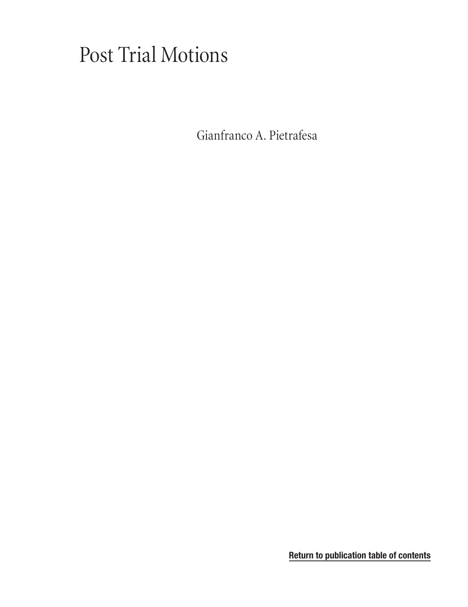# Post Trial Motions

[Gianfranco A. Pietrafesa](#page-1-0)

**[Return to publication table of contents](#page-3-0)**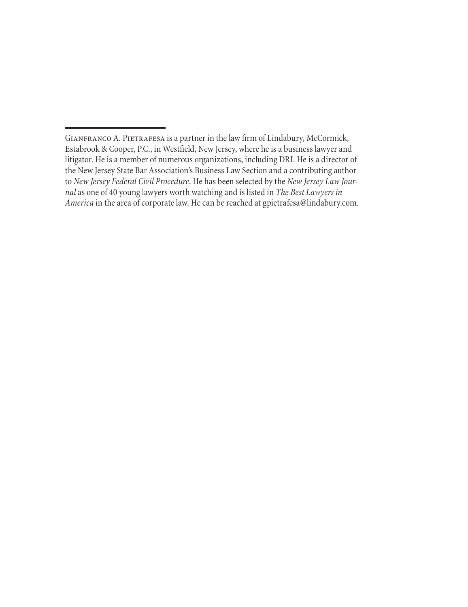<span id="page-1-0"></span>GIANFRANCO A. PIETRAFESA is a partner in the law firm of Lindabury, McCormick, Estabrook & Cooper, P.C., in Westfield, New Jersey, where he is a business lawyer and litigator. He is a member of numerous organizations, including DRI. He is a director of the New Jersey State Bar Association's Business Law Section and a contributing author to *New Jersey Federal Civil Procedure*. He has been selected by the *New Jersey Law Journal* as one of 40 young lawyers worth watching and is listed in *The Best Lawyers in America* in the area of corporate law. He can be reached at [gpietrafesa@lindabury.com](mailto:gpietrafesa@lindabury.com).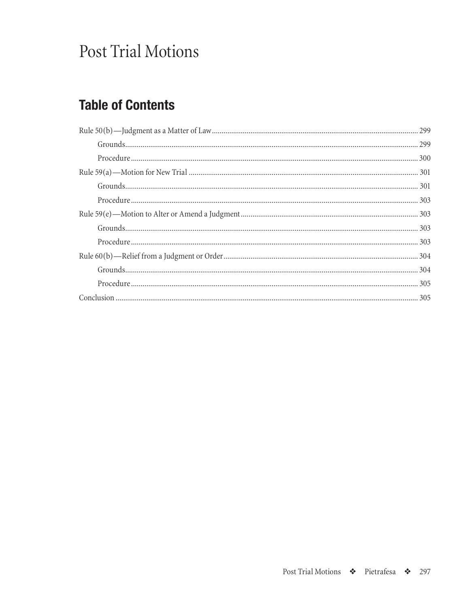# Post Trial Motions

## **Table of Contents**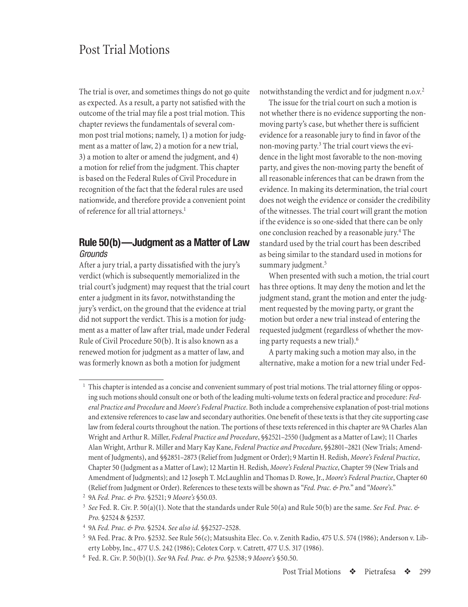## <span id="page-4-0"></span>Post Trial Motions

The trial is over, and sometimes things do not go quite as expected. As a result, a party not satisfied with the outcome of the trial may file a post trial motion. This chapter reviews the fundamentals of several common post trial motions; namely, 1) a motion for judgment as a matter of law, 2) a motion for a new trial, 3) a motion to alter or amend the judgment, and 4) a motion for relief from the judgment. This chapter is based on the Federal Rules of Civil Procedure in recognition of the fact that the federal rules are used nationwide, and therefore provide a convenient point of reference for all trial attorneys.<sup>1</sup>

## **Rule 50(b)—Judgment as a Matter of Law** *Grounds*

After a jury trial, a party dissatisfied with the jury's verdict (which is subsequently memorialized in the trial court's judgment) may request that the trial court enter a judgment in its favor, notwithstanding the jury's verdict, on the ground that the evidence at trial did not support the verdict. This is a motion for judgment as a matter of law after trial, made under Federal Rule of Civil Procedure 50(b). It is also known as a renewed motion for judgment as a matter of law, and was formerly known as both a motion for judgment

notwithstanding the verdict and for judgment n.o.v.<sup>2</sup>

The issue for the trial court on such a motion is not whether there is no evidence supporting the nonmoving party's case, but whether there is sufficient evidence for a reasonable jury to find in favor of the non-moving party.<sup>3</sup> The trial court views the evidence in the light most favorable to the non-moving party, and gives the non-moving party the benefit of all reasonable inferences that can be drawn from the evidence. In making its determination, the trial court does not weigh the evidence or consider the credibility of the witnesses. The trial court will grant the motion if the evidence is so one-sided that there can be only one conclusion reached by a reasonable jury.<sup>4</sup> The standard used by the trial court has been described as being similar to the standard used in motions for summary judgment.<sup>5</sup>

When presented with such a motion, the trial court has three options. It may deny the motion and let the judgment stand, grant the motion and enter the judgment requested by the moving party, or grant the motion but order a new trial instead of entering the requested judgment (regardless of whether the moving party requests a new trial).6

A party making such a motion may also, in the alternative, make a motion for a new trial under Fed-

<sup>1</sup> This chapter is intended as a concise and convenient summary of post trial motions. The trial attorney filing or opposing such motionsshould consult one or both of theleading multi-volumetexts on federal practice and procedure: *Federal Practice and Procedure* and *Moore's Federal Practice*. Both include a comprehensiveexplanation of post-trial motions and extensive references to case law and secondary authorities. One benefit of these texts is that they cite supporting case law from federal courts throughout the nation. The portions of these texts referenced in this chapter are 9A Charles Alan Wright and Arthur R. Miller, *Federal Practice and Procedure*, §§2521–2550 (Judgment as a Matter of Law); 11 Charles Alan Wright, Arthur R. Miller and Mary Kay Kane, *Federal Practice and Procedure*, §§2801–2821 (New Trials; Amendment of Judgments), and §§2851–2873 (Relief from Judgment or Order); 9 Martin H. Redish, *Moore's Federal Practice*, Chapter 50 (Judgment as a Matter of Law); 12 Martin H. Redish, *Moore's Federal Practice*, Chapter 59 (New Trials and Amendment of Judgments); and 12 Joseph T. McLaughlin and Thomas D. Rowe, Jr., *Moore's Federal Practice*, Chapter 60 (Relief from Judgment or Order). References to these texts will be shown as "Fed. Prac. & Pro." and "Moore's."

<sup>2</sup> 9A *Fed. Prac. & Pro.* §2521; 9 *Moore's* §50.03.

<sup>3</sup> *See* Fed. R. Civ. P. 50(a)(1). Notethat thestandards under Rule 50(a) and Rule 50(b) arethesame. *See Fed. Prac. & Pro.* §2524 & §2537.

<sup>4</sup> 9A *Fed. Prac. & Pro.* §2524. *See also id.* §§2527–2528.

<sup>&</sup>lt;sup>5</sup> 9A Fed. Prac. & Pro. §2532. See Rule 56(c); Matsushita Elec. Co. v. Zenith Radio, 475 U.S. 574 (1986); Anderson v. Liberty Lobby, Inc., 477 U.S. 242 (1986); Celotex Corp. v. Catrett, 477 U.S. 317 (1986).

<sup>6</sup> Fed. R. Civ. P. 50(b)(1). *See* 9A *Fed. Prac. & Pro.* §2538; 9 *Moore's* §50.50.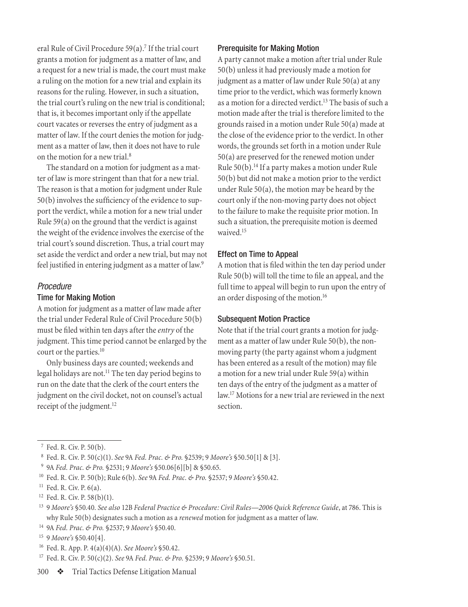<span id="page-5-0"></span>eral Rule of Civil Procedure 59(a).<sup>7</sup> If the trial court grants a motion for judgment as a matter of law, and a request for a new trial is made, the court must make a ruling on the motion for a new trial and explain its reasons for the ruling. However, in such a situation, the trial court's ruling on the new trial is conditional; that is, it becomes important only if the appellate court vacates or reverses the entry of judgment as a matter of law. If the court denies the motion for judgment as a matter of law, then it does not have to rule on the motion for a new trial.8

The standard on a motion for judgment as a matter of law is more stringent than that for a new trial. The reason is that a motion for judgment under Rule 50(b) involves the sufficiency of the evidence to support the verdict, while a motion for a new trial under Rule 59(a) on the ground that the verdict is against the weight of the evidence involves the exercise of the trial court's sound discretion. Thus, a trial court may set aside the verdict and order a new trial, but may not feel justified in entering judgment as a matter of law.<sup>9</sup>

## *Procedure*

## Time for Making Motion

A motion for judgment as a matter of law made after the trial under Federal Rule of Civil Procedure 50(b) must be filed within ten days after the *entry* of the judgment. This time period cannot be enlarged by the court or the parties.<sup>10</sup>

Only business days are counted; weekends and legal holidays are not.<sup>11</sup> The ten day period begins to run on the date that the clerk of the court enters the judgment on the civil docket, not on counsel's actual receipt of the judgment.<sup>12</sup>

#### Prerequisite for Making Motion

A party cannot make a motion after trial under Rule 50(b) unless it had previously made a motion for judgment as a matter of law under Rule 50(a) at any time prior to the verdict, which was formerly known as a motion for a directed verdict.<sup>13</sup> The basis of such a motion made after the trial is therefore limited to the grounds raised in a motion under Rule 50(a) made at the close of the evidence prior to the verdict. In other words, the grounds set forth in a motion under Rule 50(a) are preserved for the renewed motion under Rule 50(b).14 If a party makes a motion under Rule 50(b) but did not make a motion prior to the verdict under Rule 50(a), the motion may be heard by the court only if the non-moving party does not object to the failure to make the requisite prior motion. In such a situation, the prerequisite motion is deemed waived.<sup>15</sup>

### Effect on Time to Appeal

A motion that is filed within the ten day period under Rule 50(b) will toll the time to file an appeal, and the full time to appeal will begin to run upon the entry of an order disposing of the motion.16

## Subsequent Motion Practice

Note that if the trial court grants a motion for judgment as a matter of law under Rule 50(b), the nonmoving party (the party against whom a judgment has been entered as a result of the motion) may file a motion for a new trial under Rule 59(a) within ten days of the entry of the judgment as a matter of law.17 Motions for a new trial are reviewed in the next section.

14 9A *Fed. Prac. & Pro.* §2537; 9 *Moore's* §50.40.

16 Fed. R. App. P. 4(a)(4)(A). *See Moore's* §50.42.

17 Fed. R. Civ. P. 50(c)(2). *See* 9A *Fed. Prac. & Pro.* §2539; 9 *Moore's* §50.51.

<sup>7</sup> Fed. R. Civ. P. 50(b).

<sup>8</sup> Fed. R. Civ. P. 50(c)(1). *See* 9A *Fed. Prac. & Pro.* §2539; 9 *Moore's* §50.50[1] & [3].

<sup>9</sup> 9A *Fed. Prac. & Pro.* §2531; 9 *Moore's* §50.06[6][b] & §50.65.

<sup>10</sup> Fed. R. Civ. P. 50(b); Rule 6(b). *See* 9A *Fed. Prac. & Pro.* §2537; 9 *Moore's* §50.42.

 $11$  Fed. R. Civ. P.  $6(a)$ .

 $12$  Fed. R. Civ. P. 58(b)(1).

<sup>13 9</sup> *Moore's* §50.40. *See also* 12B *Federal Practice & Procedure: Civil Rules—2006 Quick Reference Guide*, at 786. This is why Rule 50(b) designates such a motion as a *renewed* motion for judgment as a matter of law.

<sup>15 9</sup> *Moore's* §50.40[4].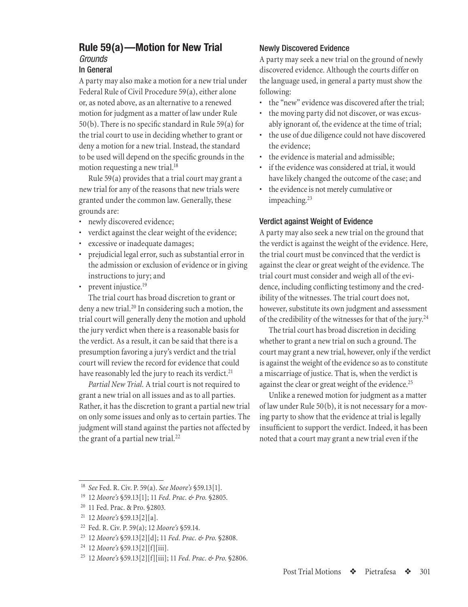## <span id="page-6-0"></span>**Rule 59(a)—Motion for New Trial** *Grounds* In General

A party may also make a motion for a new trial under Federal Rule of Civil Procedure 59(a), either alone or, as noted above, as an alternative to a renewed motion for judgment as a matter of law under Rule 50(b). There is no specific standard in Rule 59(a) for the trial court to use in deciding whether to grant or deny a motion for a new trial. Instead, the standard to be used will depend on the specific grounds in the motion requesting a new trial.<sup>18</sup>

Rule 59(a) provides that a trial court may grant a new trial for any of the reasons that new trials were granted under the common law. Generally, these grounds are:

- newly discovered evidence;
- verdict against the clear weight of the evidence;
- excessive or inadequate damages;
- prejudicial legal error, such as substantial error in the admission or exclusion of evidence or in giving instructions to jury; and
- prevent injustice.<sup>19</sup>

The trial court has broad discretion to grant or deny a new trial.<sup>20</sup> In considering such a motion, the trial court will generally deny the motion and uphold the jury verdict when there is a reasonable basis for the verdict. As a result, it can be said that there is a presumption favoring a jury's verdict and the trial court will review the record for evidence that could have reasonably led the jury to reach its verdict.<sup>21</sup>

*Partial New Trial.* A trial court is not required to grant a new trial on all issues and as to all parties. Rather, it has the discretion to grant a partial new trial on only some issues and only as to certain parties. The judgment will stand against the parties not affected by the grant of a partial new trial. $^{22}$ 

## Newly Discovered Evidence

A party may seek a new trial on the ground of newly discovered evidence. Although the courts differ on the language used, in general a party must show the following:

- the "new" evidence was discovered after the trial;
- the moving party did not discover, or was excusably ignorant of, the evidence at the time of trial;
- the use of due diligence could not have discovered the evidence;
- the evidence is material and admissible;
- if the evidence was considered at trial, it would have likely changed the outcome of the case; and
- the evidence is not merely cumulative or impeaching.<sup>23</sup>

## Verdict against Weight of Evidence

A party may also seek a new trial on the ground that the verdict is against the weight of the evidence. Here, the trial court must be convinced that the verdict is against the clear or great weight of the evidence. The trial court must consider and weigh all of the evidence, including conflicting testimony and the credibility of the witnesses. The trial court does not, however, substitute its own judgment and assessment of the credibility of the witnesses for that of the jury.24

The trial court has broad discretion in deciding whether to grant a new trial on such a ground. The court may grant a new trial, however, only if the verdict is against the weight of the evidence so as to constitute a miscarriage of justice. That is, when the verdict is against the clear or great weight of the evidence.<sup>25</sup>

Unlike a renewed motion for judgment as a matter of law under Rule 50(b), it is not necessary for a moving party to show that the evidence at trial is legally insufficient to support the verdict. Indeed, it has been noted that a court may grant a new trial even if the

- 20 11 Fed. Prac. & Pro. §2803.
- 21 12 *Moore's* §59.13[2][a].
- 22 Fed. R. Civ. P. 59(a); 12 *Moore's* §59.14.
- 23 12 *Moore's* §59.13[2][d]; 11 *Fed. Prac. & Pro.* §2808.
- 24 12 *Moore's* §59.13[2][f][iii].

<sup>18</sup> *See* Fed. R. Civ. P. 59(a). *See Moore's* §59.13[1].

<sup>19 12</sup> *Moore's* §59.13[1]; 11 *Fed. Prac. & Pro.* §2805.

<sup>25 12</sup> *Moore's* §59.13[2][f][iii]; 11 *Fed. Prac. & Pro.* §2806.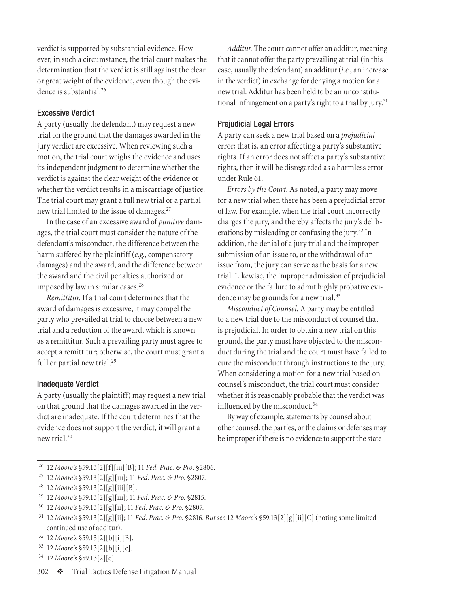verdict is supported by substantial evidence. However, in such a circumstance, the trial court makes the determination that the verdict is still against the clear or great weight of the evidence, even though the evidence is substantial.26

## Excessive Verdict

A party (usually the defendant) may request a new trial on the ground that the damages awarded in the jury verdict are excessive. When reviewing such a motion, the trial court weighs the evidence and uses its independent judgment to determine whether the verdict is against the clear weight of the evidence or whether the verdict results in a miscarriage of justice. The trial court may grant a full new trial or a partial new trial limited to the issue of damages.<sup>27</sup>

In the case of an excessive award of *punitive* damages, the trial court must consider the nature of the defendant's misconduct, the difference between the harm suffered by the plaintiff (*e.g.*, compensatory damages) and the award, and the difference between the award and the civil penalties authorized or imposed by law in similar cases.<sup>28</sup>

*Remittitur.* If a trial court determines that the award of damages is excessive, it may compel the party who prevailed at trial to choose between a new trial and a reduction of the award, which is known as a remittitur. Such a prevailing party must agree to accept a remittitur; otherwise, the court must grant a full or partial new trial.<sup>29</sup>

## Inadequate Verdict

A party (usually the plaintiff) may request a new trial on that ground that the damages awarded in the verdict are inadequate. If the court determines that the evidence does not support the verdict, it will grant a new trial.30

*Additur.* The court cannot offer an additur, meaning that it cannot offer the party prevailing at trial (in this case, usually the defendant) an additur (*i.e.*, an increase in the verdict) in exchange for denying a motion for a new trial. Additur has been held to be an unconstitutional infringement on a party's right to a trial by jury.<sup>31</sup>

## Prejudicial Legal Errors

A party can seek a new trial based on a *prejudicial* error; that is, an error affecting a party's substantive rights. If an error does not affect a party's substantive rights, then it will be disregarded as a harmless error under Rule 61.

*Errors by the Court.* As noted, a party may move for a new trial when there has been a prejudicial error of law. For example, when the trial court incorrectly charges the jury, and thereby affects the jury's deliberations by misleading or confusing the jury.32 In addition, the denial of a jury trial and the improper submission of an issue to, or the withdrawal of an issue from, the jury can serve as the basis for a new trial. Likewise, the improper admission of prejudicial evidence or the failure to admit highly probative evidence may be grounds for a new trial.<sup>33</sup>

*Misconduct of Counsel.* A party may be entitled to a new trial due to the misconduct of counsel that is prejudicial. In order to obtain a new trial on this ground, the party must have objected to the misconduct during the trial and the court must have failed to cure the misconduct through instructions to the jury. When considering a motion for a new trial based on counsel's misconduct, the trial court must consider whether it is reasonably probable that the verdict was influenced by the misconduct.<sup>34</sup>

By way of example, statements by counsel about other counsel, the parties, or the claims or defenses may be improper if there is no evidence to support the state-

<sup>26 12</sup> *Moore's* §59.13[2][f][iii][B]; 11 *Fed. Prac. & Pro.* §2806.

<sup>27 12</sup> *Moore's* §59.13[2][g][iii]; 11 *Fed. Prac. & Pro.* §2807.

<sup>28 12</sup> *Moore's* §59.13[2][g][iii][B].

<sup>29 12</sup> *Moore's* §59.13[2][g][iii]; 11 *Fed. Prac. & Pro.* §2815.

<sup>30 12</sup> *Moore's* §59.13[2][g][ii]; 11 *Fed. Prac. & Pro.* §2807.

<sup>31 12</sup> *Moore's* §59.13[2][g][ii]; 11 *Fed. Prac. & Pro.* §2816. *But see* 12 *Moore's* §59.13[2][g][ii][C] (noting somelimited continued use of additur).

<sup>32 12</sup> *Moore's* §59.13[2][b][i][B].

<sup>33 12</sup> *Moore's* §59.13[2][b][i][c].

<sup>34 12</sup> *Moore's* §59.13[2][c].

<sup>302</sup>  $\bullet$  Trial Tactics Defense Litigation Manual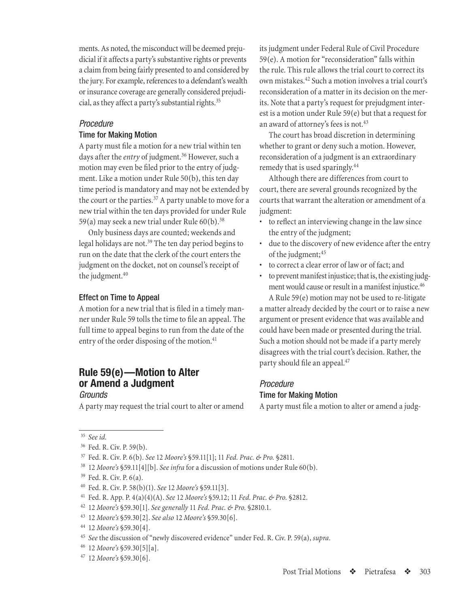<span id="page-8-0"></span>ments. As noted, the misconduct will be deemed prejudicial if it affects a party's substantive rights or prevents a claim from being fairly presented to and considered by the jury. For example, references to a defendant's wealth or insurance coverage are generally considered prejudicial, as they affect a party's substantial rights.<sup>35</sup>

## *Procedure*

#### Time for Making Motion

A party must file a motion for a new trial within ten days after the *entry* of judgment.<sup>36</sup> However, such a motion may even be filed prior to the entry of judgment. Like a motion under Rule 50(b), this ten day time period is mandatory and may not be extended by the court or the parties.<sup>37</sup> A party unable to move for a new trial within the ten days provided for under Rule 59(a) may seek a new trial under Rule 60(b).38

Only business days are counted; weekends and legal holidays are not.<sup>39</sup> The ten day period begins to run on the date that the clerk of the court enters the judgment on the docket, not on counsel's receipt of the judgment.<sup>40</sup>

## Effect on Time to Appeal

A motion for a new trial that is filed in a timely manner under Rule 59 tolls the time to file an appeal. The full time to appeal begins to run from the date of the entry of the order disposing of the motion.<sup>41</sup>

## **Rule 59(e)—Motion to Alter or Amend a Judgment**

## *Grounds*

A party may request the trial court to alter or amend

its judgment under Federal Rule of Civil Procedure 59(e). A motion for "reconsideration" falls within the rule. This rule allows the trial court to correct its own mistakes.42 Such a motion involves a trial court's reconsideration of a matter in its decision on the merits. Note that a party's request for prejudgment interest is a motion under Rule 59(e) but that a request for an award of attorney's fees is not.<sup>43</sup>

The court has broad discretion in determining whether to grant or deny such a motion. However, reconsideration of a judgment is an extraordinary remedy that is used sparingly.44

Although there are differences from court to court, there are several grounds recognized by the courts that warrant the alteration or amendment of a judgment:

- to reflect an interviewing change in the law since the entry of the judgment;
- due to the discovery of new evidence after the entry of the judgment;<sup>45</sup>
- to correct a clear error of law or of fact; and
- to prevent manifest injustice; that is, the existing judgment would cause or result in a manifest injustice.<sup>46</sup>

A Rule 59(e) motion may not be used to re-litigate a matter already decided by the court or to raise a new argument or present evidence that was available and could have been made or presented during the trial. Such a motion should not be made if a party merely disagrees with the trial court's decision. Rather, the party should file an appeal.47

### *Procedure*

## Time for Making Motion

A party must file a motion to alter or amend a judg-

<sup>35</sup> *See id.*

<sup>&</sup>lt;sup>36</sup> Fed. R. Civ. P. 59(b).

<sup>37</sup> Fed. R. Civ. P. 6(b). *See* 12 *Moore's* §59.11[1]; 11 *Fed. Prac. & Pro.* §2811.

<sup>38 12</sup> *Moore's* §59.11[4][b]. *See infra* for a discussion of motions under Rule 60(b).

<sup>&</sup>lt;sup>39</sup> Fed. R. Civ. P. 6(a).

<sup>40</sup> Fed. R. Civ. P. 58(b)(1). *See* 12 *Moore's* §59.11[3].

<sup>41</sup> Fed. R. App. P. 4(a)(4)(A). *See* 12 *Moore's* §59.12; 11 *Fed. Prac. & Pro.* §2812.

<sup>42 12</sup> *Moore's* §59.30[1]. *See generally* 11 *Fed. Prac. & Pro.* §2810.1.

<sup>43 12</sup> *Moore's* §59.30[2]. *See also* 12 *Moore's* §59.30[6].

<sup>44 12</sup> *Moore's* §59.30[4].

<sup>45</sup> *See* the discussion of "newly discovered evidence" under Fed. R. Civ. P. 59(a), *supra*.

<sup>46 12</sup> *Moore's* §59.30[5][a].

<sup>47 12</sup> *Moore's* §59.30[6].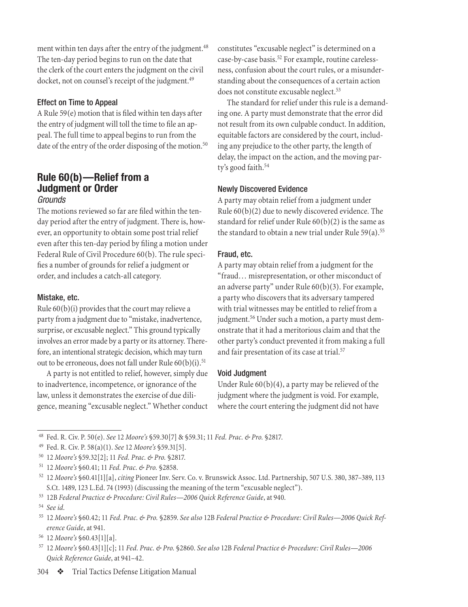<span id="page-9-0"></span>ment within ten days after the entry of the judgment.<sup>48</sup> The ten-day period begins to run on the date that the clerk of the court enters the judgment on the civil docket, not on counsel's receipt of the judgment.<sup>49</sup>

## Effect on Time to Appeal

A Rule 59(e) motion that is filed within ten days after the entry of judgment will toll the time to file an appeal. The full time to appeal begins to run from the date of the entry of the order disposing of the motion.<sup>50</sup>

## **Rule 60(b)—Relief from a Judgment or Order**

## *Grounds*

The motions reviewed so far are filed within the tenday period after the entry of judgment. There is, however, an opportunity to obtain some post trial relief even after this ten-day period by filing a motion under Federal Rule of Civil Procedure 60(b). The rule specifies a number of grounds for relief a judgment or order, and includes a catch-all category.

## Mistake, etc.

Rule 60(b)(i) provides that the court may relieve a party from a judgment due to "mistake, inadvertence, surprise, or excusable neglect." This ground typically involves an error made by a party or its attorney. Therefore, an intentional strategic decision, which may turn out to be erroneous, does not fall under Rule 60(b)(i).<sup>51</sup>

A party is not entitled to relief, however, simply due to inadvertence, incompetence, or ignorance of the law, unless it demonstrates the exercise of due diligence, meaning "excusable neglect." Whether conduct

constitutes "excusable neglect" is determined on a case-by-case basis.52 For example, routine carelessness, confusion about the court rules, or a misunderstanding about the consequences of a certain action does not constitute excusable neglect.<sup>53</sup>

The standard for relief under this rule is a demanding one. A party must demonstrate that the error did not result from its own culpable conduct. In addition, equitable factors are considered by the court, including any prejudice to the other party, the length of delay, the impact on the action, and the moving party's good faith.<sup>54</sup>

## Newly Discovered Evidence

A party may obtain relief from a judgment under Rule 60(b)(2) due to newly discovered evidence. The standard for relief under Rule 60(b)(2) is the same as the standard to obtain a new trial under Rule  $59(a)$ .<sup>55</sup>

## Fraud, etc.

A party may obtain relief from a judgment for the "fraud… misrepresentation, or other misconduct of an adverse party" under Rule 60(b)(3). For example, a party who discovers that its adversary tampered with trial witnesses may be entitled to relief from a judgment.<sup>56</sup> Under such a motion, a party must demonstrate that it had a meritorious claim and that the other party's conduct prevented it from making a full and fair presentation of its case at trial.<sup>57</sup>

## Void Judgment

Under Rule 60(b)(4), a party may be relieved of the judgment where the judgment is void. For example, where the court entering the judgment did not have

53 12B *Federal Practice & Procedure: Civil Rules—2006 Quick Reference Guide*, at 940.

- 57 12 *Moore's* §60.43[1][c]; 11 *Fed. Prac. & Pro.* §2860. *See also* 12B *Federal Practice & Procedure: Civil Rules—2006 Quick Reference Guide*, at 941–42.
- 304  $\bullet$  Trial Tactics Defense Litigation Manual

<sup>48</sup> Fed. R. Civ. P. 50(e). *See* 12 *Moore's* §59.30[7] & §59.31; 11 *Fed. Prac. & Pro.* §2817.

<sup>49</sup> Fed. R. Civ. P. 58(a)(1). *See* 12 *Moore's* §59.31[5].

<sup>50 12</sup> *Moore's* §59.32[2]; 11 *Fed. Prac. & Pro.* §2817.

<sup>51 12</sup> *Moore's* §60.41; 11 *Fed. Prac. & Pro.* §2858.

<sup>52 12</sup> *Moore's* §60.41[1][a], *citing* Pioneer Inv. Serv. Co. v. Brunswick Assoc. Ltd. Partnership, 507 U.S. 380, 387–389, 113 S.Ct. 1489, 123 L.Ed. 74 (1993) (discussing the meaning of theterm "excusable neglect").

<sup>54</sup> *See id.*

<sup>55 12</sup> *Moore's* §60.42; 11 *Fed. Prac. & Pro.* §2859. *See also* 12B *Federal Practice & Procedure: Civil Rules—2006 Quick Reference Guide*, at 941.

<sup>56 12</sup> *Moore's* §60.43[1][a].